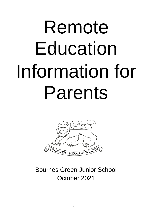# Remote Education Information for Parents



# Bournes Green Junior School October 2021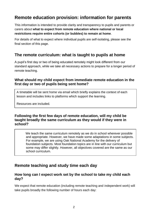# **Remote education provision: information for parents**

This information is intended to provide clarity and transparency to pupils and parents or carers about **what to expect from remote education where national or local restrictions require entire cohorts (or bubbles) to remain at home**.

For details of what to expect where individual pupils are self-isolating, please see the final section of this page.

# **The remote curriculum: what is taught to pupils at home**

A pupil's first day or two of being educated remotely might look different from our standard approach, while we take all necessary actions to prepare for a longer period of remote teaching.

#### **What should my child expect from immediate remote education in the first day or two of pupils being sent home?**

A timetable will be sent home via email which briefly explains the context of each lesson and includes links to platforms which support the learning.

Resources are included.

#### **Following the first few days of remote education, will my child be taught broadly the same curriculum as they would if they were in school?**

 We teach the same curriculum remotely as we do in school wherever possible and appropriate. However, we have made some adaptations in some subjects. For example, we are using Oak National Academy for the delivery of foundation subjects. Most foundation topics are in line with our curriculum but some may differ slightly. However, all objectives covered are the same as our school curriculum.

# **Remote teaching and study time each day**

#### **How long can I expect work set by the school to take my child each day?**

We expect that remote education (including remote teaching and independent work) will take pupils broadly the following number of hours each day: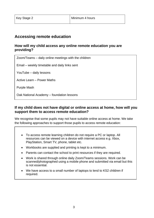# **Accessing remote education**

#### **How will my child access any online remote education you are providing?**

Zoom/Teams – daily online meetings with the children

Email – weekly timetable and daily links sent

YouTube – daily lessons

Active Learn – Power Maths

Purple Mash

Oak National Academy – foundation lessons

#### **If my child does not have digital or online access at home, how will you support them to access remote education?**

We recognise that some pupils may not have suitable online access at home. We take the following approaches to support those pupils to access remote education:

- To access remote learning children do not require a PC or laptop. All resources can be viewed on a device with internet access e.g. Xbox, PlayStation, Smart TV, phone, tablet etc.
- Workbooks are supplied and printing is kept to a minimum.
- Parents can contact the school to print resources if they are required.
- Work is shared through online daily Zoom/Teams sessions. Work can be scanned/photographed using a mobile phone and submitted via email but this is not essential.
- We have access to a small number of laptops to lend to KS2 children if required.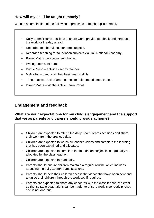### **How will my child be taught remotely?**

We use a combination of the following approaches to teach pupils remotely:

- Daily Zoom/Teams sessions to share work, provide feedback and introduce the work for the day ahead.
- Recorded teacher videos for core subjects.
- Recorded teaching for foundation subjects via Oak National Academy.
- Power Maths workbooks sent home.
- Writing book sent home.
- Purple Mash activities set by teacher.
- MyMaths used to embed basic maths skills.
- Times Tables Rock Stars games to help embed times tables.
- Power Maths via the Active Learn Portal.

## **Engagement and feedback**

#### **What are your expectations for my child's engagement and the support that we as parents and carers should provide at home?**

- Children are expected to attend the daily Zoom/Teams sessions and share their work from the previous day.
- Children are expected to watch all teacher videos and complete the learning that has been explained and allocated.
- Children are expected to complete the foundation subject lesson(s) daily as allocated by the class teacher.
- Children are expected to read daily.
- Parents should ensure children maintain a regular routine which includes attending the daily Zoom/Teams sessions.
- Parents should help their children access the videos that have been sent and to guide their children through the work set, if required.
- Parents are expected to share any concerns with the class teacher via email so that suitable adaptations can be made, to ensure work is correctly pitched and is not onerous.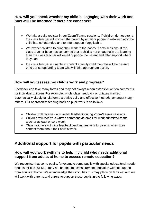#### **How will you check whether my child is engaging with their work and how will I be informed if there are concerns?**

- We take a daily register in our Zoom/Teams sessions. If children do not attend the class teacher will contact the parent by email or phone to establish why the child has not attended and to offer support if applicable.
- We expect children to bring their work to the Zoom/Teams sessions. If the class teacher becomes concerned that a child is not engaging in the learning then the class teacher will email or phone the parent and offer support where they can.
- If a class teacher is unable to contact a family/child then this will be passed onto our safeguarding team who will take appropriate action.

#### **How will you assess my child's work and progress?**

Feedback can take many forms and may not always mean extensive written comments for individual children. For example, whole-class feedback or quizzes marked automatically via digital platforms are also valid and effective methods, amongst many others. Our approach to feeding back on pupil work is as follows:

- Children will receive daily verbal feedback during Zoom/Teams sessions.
- Children will receive a written comment via email for work submitted to the teacher at least once a week.
- Class teachers will give feedback and suggestions to parents when they contact them about their child's work.

# **Additional support for pupils with particular needs**

#### **How will you work with me to help my child who needs additional support from adults at home to access remote education?**

We recognise that some pupils, for example some pupils with special educational needs and disabilities (SEND), may not be able to access remote education without support from adults at home. We acknowledge the difficulties this may place on families, and we will work with parents and carers to support those pupils in the following ways: